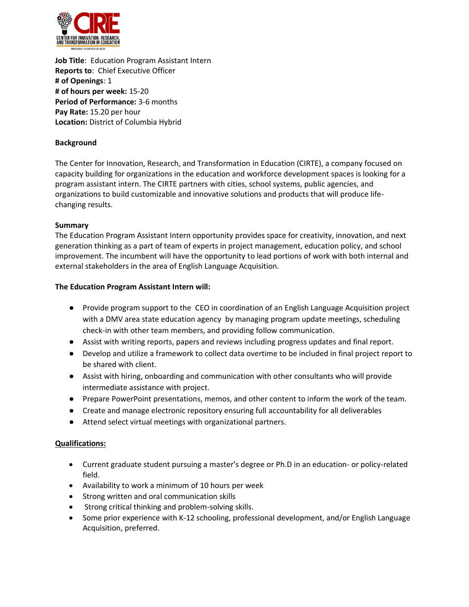

**Job Title**: Education Program Assistant Intern **Reports to**: Chief Executive Officer **# of Openings**: 1 **# of hours per week:** 15-20 **Period of Performance:** 3-6 months **Pay Rate:** 15.20 per hour **Location:** District of Columbia Hybrid

## **Background**

The Center for Innovation, Research, and Transformation in Education (CIRTE), a company focused on capacity building for organizations in the education and workforce development spaces is looking for a program assistant intern. The CIRTE partners with cities, school systems, public agencies, and organizations to build customizable and innovative solutions and products that will produce lifechanging results.

## **Summary**

The Education Program Assistant Intern opportunity provides space for creativity, innovation, and next generation thinking as a part of team of experts in project management, education policy, and school improvement. The incumbent will have the opportunity to lead portions of work with both internal and external stakeholders in the area of English Language Acquisition.

## **The Education Program Assistant Intern will:**

- Provide program support to the CEO in coordination of an English Language Acquisition project with a DMV area state education agency by managing program update meetings, scheduling check-in with other team members, and providing follow communication.
- Assist with writing reports, papers and reviews including progress updates and final report.
- Develop and utilize a framework to collect data overtime to be included in final project report to be shared with client.
- Assist with hiring, onboarding and communication with other consultants who will provide intermediate assistance with project.
- Prepare PowerPoint presentations, memos, and other content to inform the work of the team.
- Create and manage electronic repository ensuring full accountability for all deliverables
- Attend select virtual meetings with organizational partners.

## **Qualifications:**

- Current graduate student pursuing a master's degree or Ph.D in an education- or policy-related field.
- Availability to work a minimum of 10 hours per week
- Strong written and oral communication skills
- Strong critical thinking and problem-solving skills.
- Some prior experience with K-12 schooling, professional development, and/or English Language Acquisition, preferred.